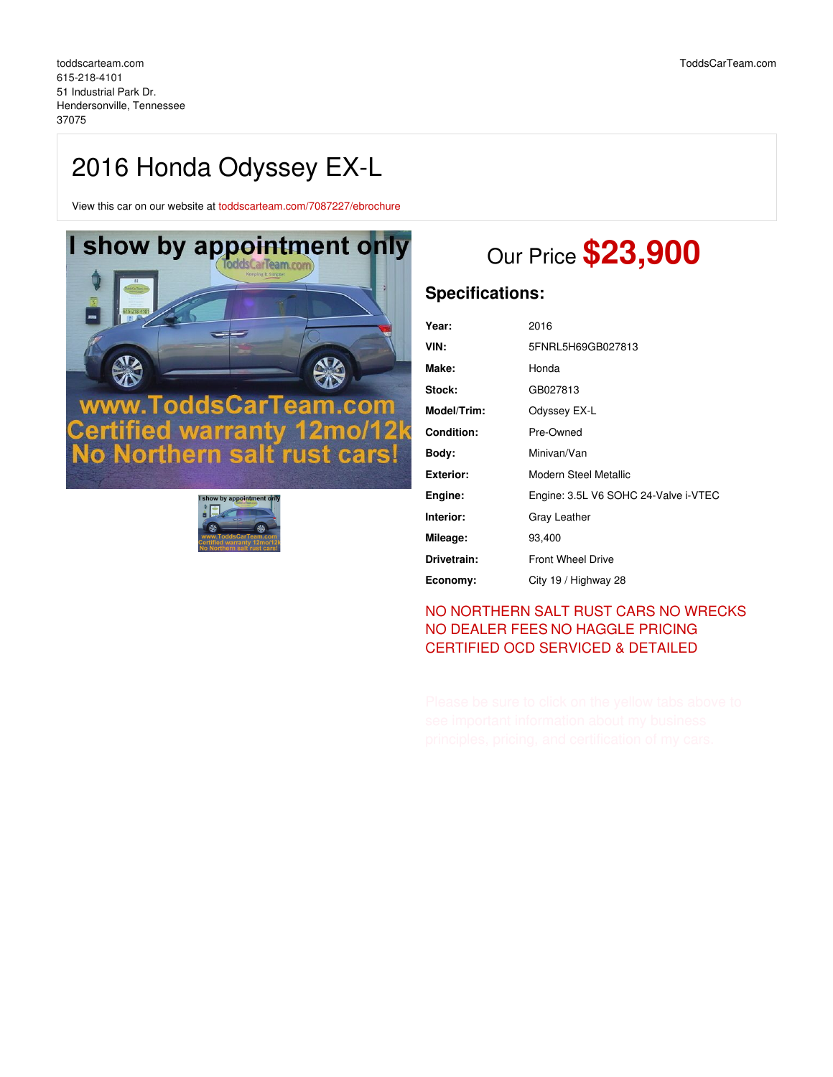# 2016 Honda Odyssey EX-L

View this car on our website at [toddscarteam.com/7087227/ebrochure](https://toddscarteam.com/vehicle/7087227/2016-honda-odyssey-ex-l-hendersonville-tennessee-37075/7087227/ebrochure)





# Our Price **\$23,900**

## **Specifications:**

| Year:             | 2016                                 |
|-------------------|--------------------------------------|
| VIN:              | 5FNRL5H69GB027813                    |
| Make:             | Honda                                |
| Stock:            | GB027813                             |
| Model/Trim:       | Odyssey EX-L                         |
| <b>Condition:</b> | Pre-Owned                            |
| Body:             | Minivan/Van                          |
| Exterior:         | Modern Steel Metallic                |
| Engine:           | Engine: 3.5L V6 SOHC 24-Valve i-VTEC |
| Interior:         | Gray Leather                         |
| Mileage:          | 93,400                               |
| Drivetrain:       | <b>Front Wheel Drive</b>             |
| Economy:          | City 19 / Highway 28                 |

### NO [NORTHERN](file:///no-northern-salt-exposed-or-wrecks/) SALT RUST CARS NO WRECKS NO [DEALER](file:///zero-fees/) FEES NO [HAGGLE](file:///no-haggle/) PRICING [CERTIFIED](https://www.toddscarteam.com/toddscarteam.com-ocd-detail/) OCD SERVICED & DETAILED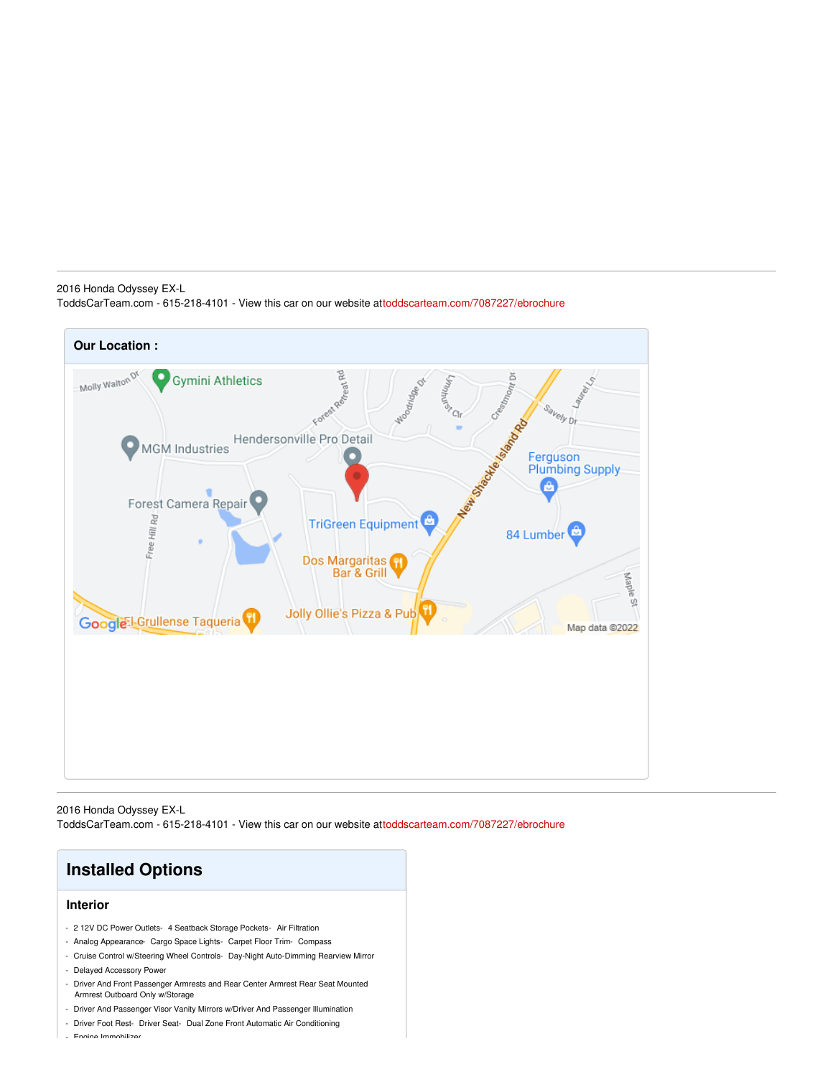#### 2016 Honda Odyssey EX-L ToddsCarTeam.com - 615-218-4101 - View this car on our website a[ttoddscarteam.com/7087227/ebrochure](https://toddscarteam.com/vehicle/7087227/2016-honda-odyssey-ex-l-hendersonville-tennessee-37075/7087227/ebrochure)



2016 Honda Odyssey EX-L ToddsCarTeam.com - 615-218-4101 - View this car on our website a[ttoddscarteam.com/7087227/ebrochure](https://toddscarteam.com/vehicle/7087227/2016-honda-odyssey-ex-l-hendersonville-tennessee-37075/7087227/ebrochure)



- Driver And Passenger Visor Vanity Mirrors w/Driver And Passenger Illumination
- Driver Foot Rest- Driver Seat- Dual Zone Front Automatic Air Conditioning
- Engine Immobilizer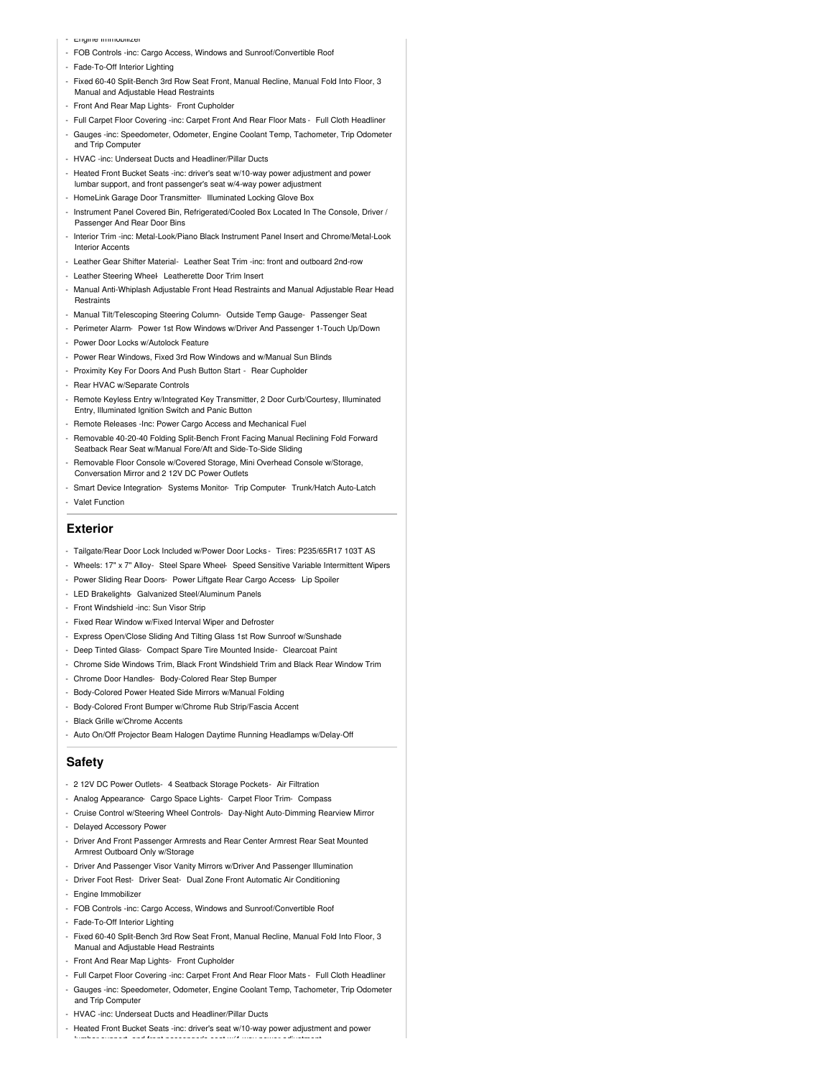- Engine Immobilizer
- FOB Controls -inc: Cargo Access, Windows and Sunroof/Convertible Roof
- Fade-To-Off Interior Lighting
- Fixed 60-40 Split-Bench 3rd Row Seat Front, Manual Recline, Manual Fold Into Floor, 3 Manual and Adjustable Head Restraints
- Front And Rear Map Lights- Front Cupholder
- Full Carpet Floor Covering -inc: Carpet Front And Rear Floor Mats Full Cloth Headliner
- Gauges -inc: Speedometer, Odometer, Engine Coolant Temp, Tachometer, Trip Odometer and Trip Computer
- HVAC -inc: Underseat Ducts and Headliner/Pillar Ducts
- Heated Front Bucket Seats -inc: driver's seat w/10-way power adjustment and power lumbar support, and front passenger's seat w/4-way power adjustment
- HomeLink Garage Door Transmitter- Illuminated Locking Glove Box
- Instrument Panel Covered Bin, Refrigerated/Cooled Box Located In The Console, Driver / Passenger And Rear Door Bins
- Interior Trim -inc: Metal-Look/Piano Black Instrument Panel Insert and Chrome/Metal-Look Interior Accents
- Leather Gear Shifter Material- Leather Seat Trim -inc: front and outboard 2nd-row
- Leather Steering Wheel- Leatherette Door Trim Insert
- Manual Anti-Whiplash Adjustable Front Head Restraints and Manual Adjustable Rear Head **Restraints**
- Manual Tilt/Telescoping Steering Column- Outside Temp Gauge- Passenger Seat
- Perimeter Alarm- Power 1st Row Windows w/Driver And Passenger 1-Touch Up/Down
- Power Door Locks w/Autolock Feature
- Power Rear Windows, Fixed 3rd Row Windows and w/Manual Sun Blinds
- Proximity Key For Doors And Push Button Start Rear Cupholder
- Rear HVAC w/Separate Controls
- Remote Keyless Entry w/Integrated Key Transmitter, 2 Door Curb/Courtesy, Illuminated Entry, Illuminated Ignition Switch and Panic Button
- Remote Releases -Inc: Power Cargo Access and Mechanical Fuel
- Removable 40-20-40 Folding Split-Bench Front Facing Manual Reclining Fold Forward Seatback Rear Seat w/Manual Fore/Aft and Side-To-Side Sliding
- Removable Floor Console w/Covered Storage, Mini Overhead Console w/Storage, Conversation Mirror and 2 12V DC Power Outlets
- Smart Device Integration- Systems Monitor- Trip Computer- Trunk/Hatch Auto-Latch - Valet Function

#### **Exterior**

- Tailgate/Rear Door Lock Included w/Power Door Locks Tires: P235/65R17 103T AS
- Wheels: 17" x 7" Alloy- Steel Spare Wheel- Speed Sensitive Variable Intermittent Wipers
- Power Sliding Rear Doors- Power Liftgate Rear Cargo Access- Lip Spoiler
- LED Brakelights- Galvanized Steel/Aluminum Panels
- Front Windshield -inc: Sun Visor Strip
- Fixed Rear Window w/Fixed Interval Wiper and Defroster
- Express Open/Close Sliding And Tilting Glass 1st Row Sunroof w/Sunshade
- Deep Tinted Glass- Compact Spare Tire Mounted Inside- Clearcoat Paint
- Chrome Side Windows Trim, Black Front Windshield Trim and Black Rear Window Trim
- Chrome Door Handles- Body-Colored Rear Step Bumper
- Body-Colored Power Heated Side Mirrors w/Manual Folding
- Body-Colored Front Bumper w/Chrome Rub Strip/Fascia Accent
- Black Grille w/Chrome Accents
- Auto On/Off Projector Beam Halogen Daytime Running Headlamps w/Delay-Off

#### **Safety**

- 2 12V DC Power Outlets- 4 Seatback Storage Pockets- Air Filtration
- Analog Appearance- Cargo Space Lights- Carpet Floor Trim- Compass
- Cruise Control w/Steering Wheel Controls- Day-Night Auto-Dimming Rearview Mirror
- Delayed Accessory Power
- Driver And Front Passenger Armrests and Rear Center Armrest Rear Seat Mounted Armrest Outboard Only w/Storage
- Driver And Passenger Visor Vanity Mirrors w/Driver And Passenger Illumination
- Driver Foot Rest- Driver Seat- Dual Zone Front Automatic Air Conditioning
- Engine Immobilizer
- FOB Controls -inc: Cargo Access, Windows and Sunroof/Convertible Roof
- Fade-To-Off Interior Lighting
- Fixed 60-40 Split-Bench 3rd Row Seat Front, Manual Recline, Manual Fold Into Floor, 3 Manual and Adjustable Head Restraints
- Front And Rear Map Lights- Front Cupholder
- Full Carpet Floor Covering -inc: Carpet Front And Rear Floor Mats Full Cloth Headliner
- Gauges -inc: Speedometer, Odometer, Engine Coolant Temp, Tachometer, Trip Odometer and Trip Computer
- HVAC -inc: Underseat Ducts and Headliner/Pillar Ducts
- Heated Front Bucket Seats -inc: driver's seat w/10-way power adjustment and power

lumbar support, and front passenger's seat w/4-way power adjustment